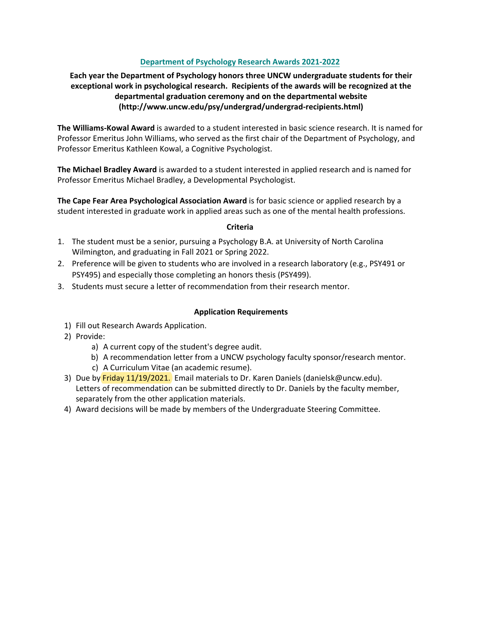# **Department of Psychology Research Awards 2021-2022**

# **Each year the Department of Psychology honors three UNCW undergraduate students for their exceptional work in psychological research. Recipients of the awards will be recognized at the departmental graduation ceremony and on the departmental website (http://www.uncw.edu/psy/undergrad/undergrad-recipients.html)**

**The Williams-Kowal Award** is awarded to a student interested in basic science research. It is named for Professor Emeritus John Williams, who served as the first chair of the Department of Psychology, and Professor Emeritus Kathleen Kowal, a Cognitive Psychologist.

**The Michael Bradley Award** is awarded to a student interested in applied research and is named for Professor Emeritus Michael Bradley, a Developmental Psychologist.

**The Cape Fear Area Psychological Association Award** is for basic science or applied research by a student interested in graduate work in applied areas such as one of the mental health professions.

#### **Criteria**

- 1. The student must be a senior, pursuing a Psychology B.A. at University of North Carolina Wilmington, and graduating in Fall 2021 or Spring 2022.
- 2. Preference will be given to students who are involved in a research laboratory (e.g., PSY491 or PSY495) and especially those completing an honors thesis (PSY499).
- 3. Students must secure a letter of recommendation from their research mentor.

### **Application Requirements**

- 1) Fill out Research Awards Application.
- 2) Provide:
	- a) A current copy of the student's degree audit.
	- b) A recommendation letter from a UNCW psychology faculty sponsor/research mentor.
	- c) A Curriculum Vitae (an academic resume).
- 3) Due by Friday 11/19/2021. Email materials to Dr. Karen Daniels (danielsk@uncw.edu). Letters of recommendation can be submitted directly to Dr. Daniels by the faculty member, separately from the other application materials.
- 4) Award decisions will be made by members of the Undergraduate Steering Committee.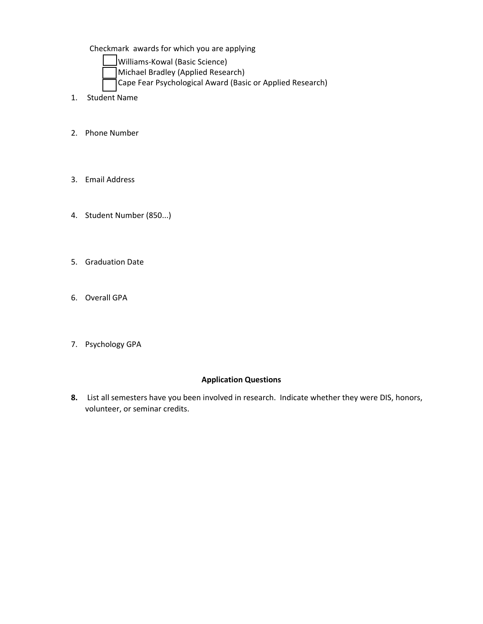Checkmark awards for which you are applying

Williams-Kowal (Basic Science)

- Michael Bradley (Applied Research)
- Cape Fear Psychological Award (Basic or Applied Research)
- 1. Student Name
- 2. Phone Number
- 3. Email Address
- 4. Student Number (850...)
- 5. Graduation Date
- 6. Overall GPA
- 7. Psychology GPA

### **Application Questions**

**8.** List all semesters have you been involved in research. Indicate whether they were DIS, honors, volunteer, or seminar credits.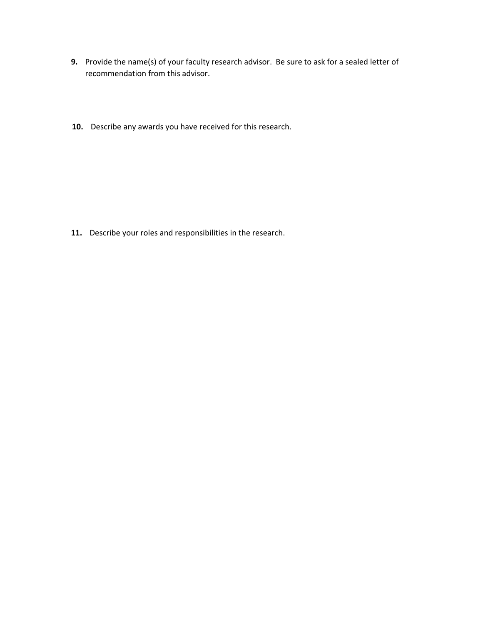- **.** Provide the name(s) of your faculty research advisor. Be sure to ask for a sealed letter of recommendation from this advisor.
- **.** Describe any awards you have received for this research.

**.** Describe your roles and responsibilities in the research.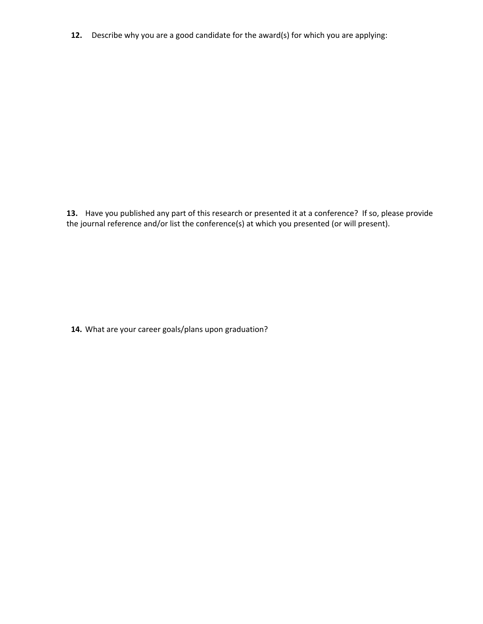**.** Describe why you are a good candidate for the award(s) for which you are applying:

**.** Have you published any part of this research or presented it at a conference? If so, please provide the journal reference and/or list the conference(s) at which you presented (or will present).

**4.** What are your career goals/plans upon graduation?